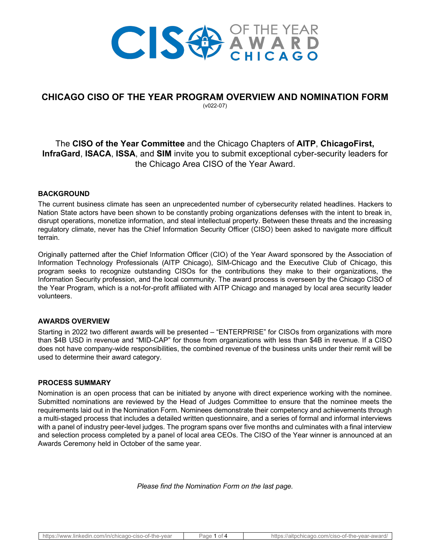

# **CHICAGO CISO OF THE YEAR PROGRAM OVERVIEW AND NOMINATION FORM**

(v022-07)

# The **CISO of the Year Committee** and the Chicago Chapters of **AITP**, **ChicagoFirst, InfraGard**, **ISACA**, **ISSA**, and **SIM** invite you to submit exceptional cyber-security leaders for the Chicago Area CISO of the Year Award.

## **BACKGROUND**

The current business climate has seen an unprecedented number of cybersecurity related headlines. Hackers to Nation State actors have been shown to be constantly probing organizations defenses with the intent to break in, disrupt operations, monetize information, and steal intellectual property. Between these threats and the increasing regulatory climate, never has the Chief Information Security Officer (CISO) been asked to navigate more difficult terrain.

Originally patterned after the Chief Information Officer (CIO) of the Year Award sponsored by the Association of Information Technology Professionals (AITP Chicago), SIM-Chicago and the Executive Club of Chicago, this program seeks to recognize outstanding CISOs for the contributions they make to their organizations, the Information Security profession, and the local community. The award process is overseen by the Chicago CISO of the Year Program, which is a not-for-profit affiliated with AITP Chicago and managed by local area security leader volunteers.

### **AWARDS OVERVIEW**

Starting in 2022 two different awards will be presented – "ENTERPRISE" for CISOs from organizations with more than \$4B USD in revenue and "MID-CAP" for those from organizations with less than \$4B in revenue. If a CISO does not have company-wide responsibilities, the combined revenue of the business units under their remit will be used to determine their award category.

### **PROCESS SUMMARY**

Nomination is an open process that can be initiated by anyone with direct experience working with the nominee. Submitted nominations are reviewed by the Head of Judges Committee to ensure that the nominee meets the requirements laid out in the Nomination Form. Nominees demonstrate their competency and achievements through a multi-staged process that includes a detailed written questionnaire, and a series of formal and informal interviews with a panel of industry peer-level judges. The program spans over five months and culminates with a final interview and selection process completed by a panel of local area CEOs. The CISO of the Year winner is announced at an Awards Ceremony held in October of the same year.

*Please find the Nomination Form on the last page.*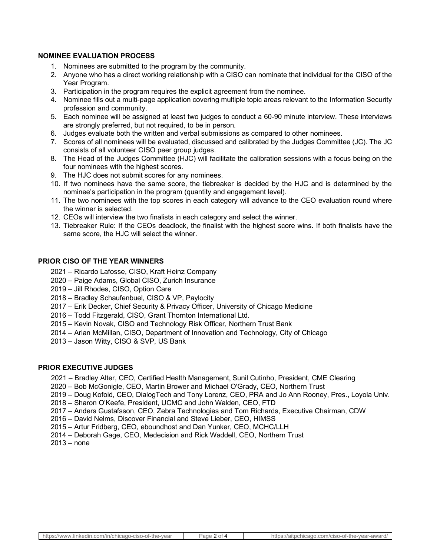#### **NOMINEE EVALUATION PROCESS**

- 1. Nominees are submitted to the program by the community.
- 2. Anyone who has a direct working relationship with a CISO can nominate that individual for the CISO of the Year Program.
- 3. Participation in the program requires the explicit agreement from the nominee.
- 4. Nominee fills out a multi-page application covering multiple topic areas relevant to the Information Security profession and community.
- 5. Each nominee will be assigned at least two judges to conduct a 60-90 minute interview. These interviews are strongly preferred, but not required, to be in person.
- 6. Judges evaluate both the written and verbal submissions as compared to other nominees.
- 7. Scores of all nominees will be evaluated, discussed and calibrated by the Judges Committee (JC). The JC consists of all volunteer CISO peer group judges.
- 8. The Head of the Judges Committee (HJC) will facilitate the calibration sessions with a focus being on the four nominees with the highest scores.
- 9. The HJC does not submit scores for any nominees.
- 10. If two nominees have the same score, the tiebreaker is decided by the HJC and is determined by the nominee's participation in the program (quantity and engagement level).
- 11. The two nominees with the top scores in each category will advance to the CEO evaluation round where the winner is selected.
- 12. CEOs will interview the two finalists in each category and select the winner.
- 13. Tiebreaker Rule: If the CEOs deadlock, the finalist with the highest score wins. If both finalists have the same score, the HJC will select the winner.

#### **PRIOR CISO OF THE YEAR WINNERS**

- 2021 Ricardo Lafosse, CISO, Kraft Heinz Company
- 2020 Paige Adams, Global CISO, Zurich Insurance
- 2019 Jill Rhodes, CISO, Option Care
- 2018 Bradley Schaufenbuel, CISO & VP, Paylocity
- 2017 Erik Decker, Chief Security & Privacy Officer, University of Chicago Medicine
- 2016 Todd Fitzgerald, CISO, Grant Thornton International Ltd.
- 2015 Kevin Novak, CISO and Technology Risk Officer, Northern Trust Bank
- 2014 Arlan McMillan, CISO, Department of Innovation and Technology, City of Chicago
- 2013 Jason Witty, CISO & SVP, US Bank

#### **PRIOR EXECUTIVE JUDGES**

- 2021 Bradley Alter, CEO, Certified Health Management, Sunil Cutinho, President, CME Clearing
- 2020 Bob McGonigle, CEO, Martin Brower and Michael O'Grady, CEO, Northern Trust
- 2019 Doug Kofoid, CEO, DialogTech and Tony Lorenz, CEO, PRA and Jo Ann Rooney, Pres., Loyola Univ.
- 2018 Sharon O'Keefe, President, UCMC and John Walden, CEO, FTD
- 2017 Anders Gustafsson, CEO, Zebra Technologies and Tom Richards, Executive Chairman, CDW
- 2016 David Nelms, Discover Financial and Steve Lieber, CEO, HIMSS
- 2015 Artur Fridberg, CEO, eboundhost and Dan Yunker, CEO, MCHC/LLH
- 2014 Deborah Gage, CEO, Medecision and Rick Waddell, CEO, Northern Trust
- 2013 none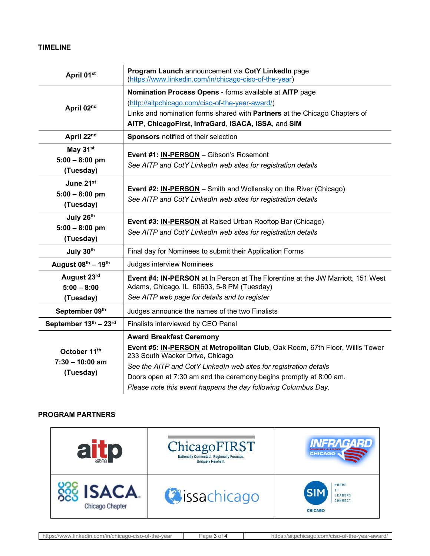# **TIMELINE**

| April 01st            | Program Launch announcement via CotY LinkedIn page<br>(https://www.linkedin.com/in/chicago-ciso-of-the-year)    |  |
|-----------------------|-----------------------------------------------------------------------------------------------------------------|--|
| April 02nd            | Nomination Process Opens - forms available at AITP page                                                         |  |
|                       | (http://aitpchicago.com/ciso-of-the-year-award/)                                                                |  |
|                       | Links and nomination forms shared with Partners at the Chicago Chapters of                                      |  |
|                       | AITP, ChicagoFirst, InfraGard, ISACA, ISSA, and SIM                                                             |  |
| April 22nd            | Sponsors notified of their selection                                                                            |  |
| May 31 <sup>st</sup>  | Event #1: IN-PERSON - Gibson's Rosemont                                                                         |  |
| $5:00 - 8:00$ pm      | See AITP and CotY LinkedIn web sites for registration details                                                   |  |
| (Tuesday)             |                                                                                                                 |  |
| June 21st             | <b>Event #2: IN-PERSON</b> – Smith and Wollensky on the River (Chicago)                                         |  |
| $5:00 - 8:00$ pm      | See AITP and CotY LinkedIn web sites for registration details                                                   |  |
| (Tuesday)             |                                                                                                                 |  |
| July 26th             | <b>Event #3: IN-PERSON</b> at Raised Urban Rooftop Bar (Chicago)                                                |  |
| $5:00 - 8:00$ pm      | See AITP and CotY LinkedIn web sites for registration details                                                   |  |
| (Tuesday)             |                                                                                                                 |  |
| July 30th             | Final day for Nominees to submit their Application Forms                                                        |  |
| August 08th - 19th    | <b>Judges interview Nominees</b>                                                                                |  |
| August 23rd           | Event #4: IN-PERSON at In Person at The Florentine at the JW Marriott, 151 West                                 |  |
| $5:00 - 8:00$         | Adams, Chicago, IL 60603, 5-8 PM (Tuesday)                                                                      |  |
| (Tuesday)             | See AITP web page for details and to register                                                                   |  |
| September 09th        | Judges announce the names of the two Finalists                                                                  |  |
| September 13th - 23rd | Finalists interviewed by CEO Panel                                                                              |  |
| October 11th          | <b>Award Breakfast Ceremony</b>                                                                                 |  |
|                       | Event #5: IN-PERSON at Metropolitan Club, Oak Room, 67th Floor, Willis Tower<br>233 South Wacker Drive, Chicago |  |
| $7:30 - 10:00$ am     | See the AITP and CotY LinkedIn web sites for registration details                                               |  |
| (Tuesday)             | Doors open at 7:30 am and the ceremony begins promptly at 8:00 am.                                              |  |
|                       | Please note this event happens the day following Columbus Day.                                                  |  |

## **PROGRAM PARTNERS**

| a<br><b>CHICAGO</b>                     | ChicagoFIRST<br>Nationally Connected. Regionally Focused.<br><b>Uniquely Resilient.</b> | INFRAGARD<br><b>MEMBERS ALLIANCE</b><br><b>CHICAGO 4</b>          |
|-----------------------------------------|-----------------------------------------------------------------------------------------|-------------------------------------------------------------------|
| <b>ISACA.</b><br><b>Chicago Chapter</b> | <b>Ossachicago</b>                                                                      | WHERE<br><b>SIM</b><br><b>EADERS</b><br>CONNECT<br><b>CHICAGO</b> |